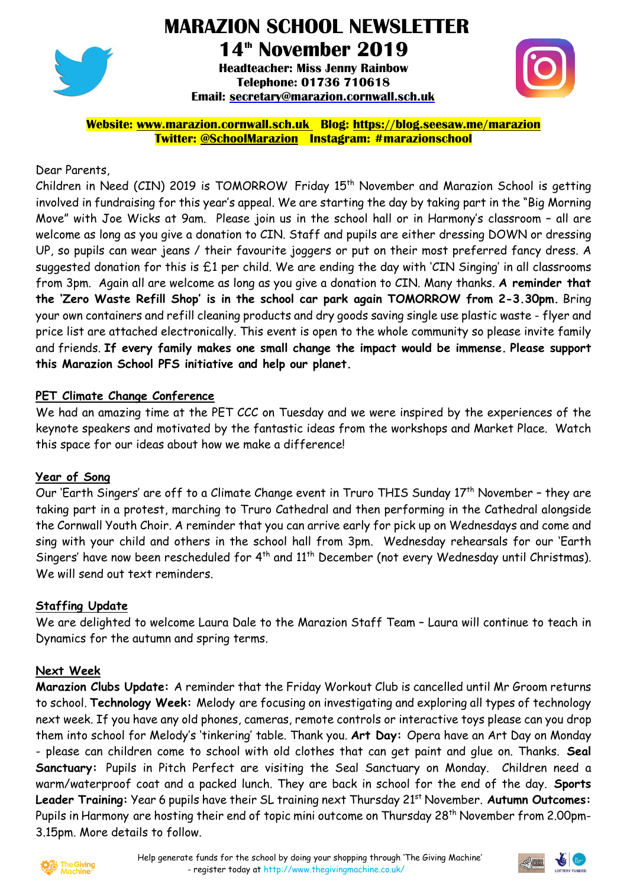

# **MARAZION SCHOOL NEWSLETTER**

**14th November 2019**

**Headteacher: Miss Jenny Rainbow Telephone: 01736 710618 Email: [secretary@marazion.cornwall.sch.uk](mailto:secretary@marazion.cornwall.sch.uk)**



**Website: [www.marazion.cornwall.sch.uk](http://www.marazion.cornwall.sch.uk/) Blog: <https://blog.seesaw.me/marazion> Twitter: @SchoolMarazion Instagram: #marazionschool**

## Dear Parents,

Children in Need (CIN) 2019 is TOMORROW Friday 15th November and Marazion School is getting involved in fundraising for this year's appeal. We are starting the day by taking part in the "Big Morning Move" with Joe Wicks at 9am. Please join us in the school hall or in Harmony's classroom – all are welcome as long as you give a donation to CIN. Staff and pupils are either dressing DOWN or dressing UP, so pupils can wear jeans / their favourite joggers or put on their most preferred fancy dress. A suggested donation for this is £1 per child. We are ending the day with 'CIN Singing' in all classrooms from 3pm. Again all are welcome as long as you give a donation to CIN. Many thanks. **A reminder that the 'Zero Waste Refill Shop' is in the school car park again TOMORROW from 2-3.30pm.** Bring your own containers and refill cleaning products and dry goods saving single use plastic waste - flyer and price list are attached electronically. This event is open to the whole community so please invite family and friends. **If every family makes one small change the impact would be immense. Please support this Marazion School PFS initiative and help our planet.**

## **PET Climate Change Conference**

We had an amazing time at the PET CCC on Tuesday and we were inspired by the experiences of the keynote speakers and motivated by the fantastic ideas from the workshops and Market Place. Watch this space for our ideas about how we make a difference!

#### **Year of Song**

Our 'Earth Singers' are off to a Climate Change event in Truro THIS Sunday 17<sup>th</sup> November - they are taking part in a protest, marching to Truro Cathedral and then performing in the Cathedral alongside the Cornwall Youth Choir. A reminder that you can arrive early for pick up on Wednesdays and come and sing with your child and others in the school hall from 3pm. Wednesday rehearsals for our 'Earth Singers' have now been rescheduled for  $4^{th}$  and  $11^{th}$  December (not every Wednesday until Christmas). We will send out text reminders.

#### **Staffing Update**

We are delighted to welcome Laura Dale to the Marazion Staff Team – Laura will continue to teach in Dynamics for the autumn and spring terms.

#### **Next Week**

**Marazion Clubs Update:** A reminder that the Friday Workout Club is cancelled until Mr Groom returns to school. **Technology Week:** Melody are focusing on investigating and exploring all types of technology next week. If you have any old phones, cameras, remote controls or interactive toys please can you drop them into school for Melody's 'tinkering' table. Thank you. **Art Day:** Opera have an Art Day on Monday - please can children come to school with old clothes that can get paint and glue on. Thanks. **Seal Sanctuary:** Pupils in Pitch Perfect are visiting the Seal Sanctuary on Monday. Children need a warm/waterproof coat and a packed lunch. They are back in school for the end of the day. **Sports** Leader **Training:** Year 6 pupils have their SL training next Thursday 21<sup>st</sup> November. Autumn Outcomes: Pupils in Harmony are hosting their end of topic mini outcome on Thursday 28<sup>th</sup> November from 2.00pm-3.15pm. More details to follow.



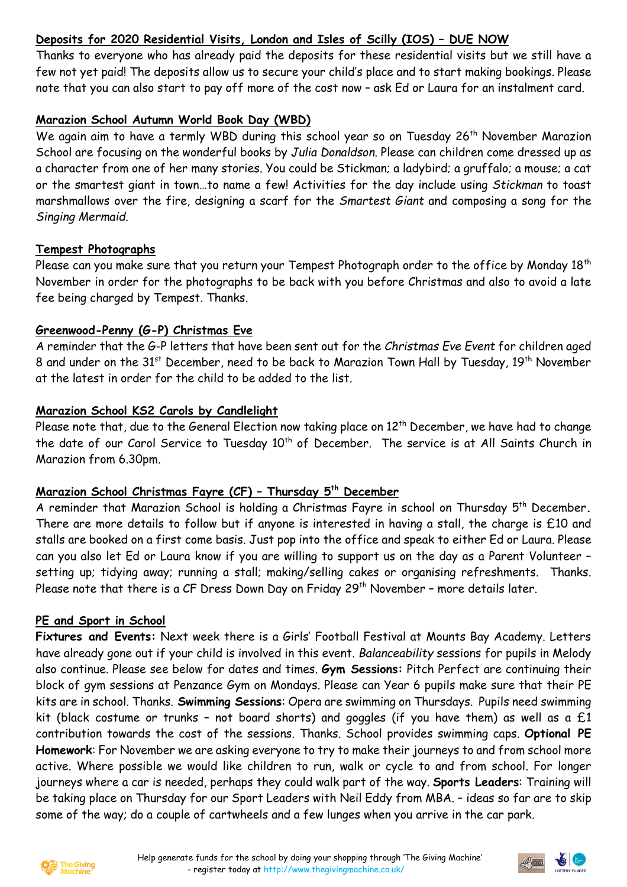## **Deposits for 2020 Residential Visits, London and Isles of Scilly (IOS) – DUE NOW**

Thanks to everyone who has already paid the deposits for these residential visits but we still have a few not yet paid! The deposits allow us to secure your child's place and to start making bookings. Please note that you can also start to pay off more of the cost now – ask Ed or Laura for an instalment card.

## **Marazion School Autumn World Book Day (WBD)**

We again aim to have a termly WBD during this school year so on Tuesday 26<sup>th</sup> November Marazion School are focusing on the wonderful books by *Julia Donaldson*. Please can children come dressed up as a character from one of her many stories. You could be Stickman; a ladybird; a gruffalo; a mouse; a cat or the smartest giant in town…to name a few! Activities for the day include using *Stickman* to toast marshmallows over the fire, designing a scarf for the *Smartest Giant* and composing a song for the *Singing Mermaid*.

## **Tempest Photographs**

Please can you make sure that you return your Tempest Photograph order to the office by Monday 18<sup>th</sup> November in order for the photographs to be back with you before Christmas and also to avoid a late fee being charged by Tempest. Thanks.

## **Greenwood-Penny (G-P) Christmas Eve**

A reminder that the G-P letters that have been sent out for the *Christmas Eve Event* for children aged 8 and under on the 31<sup>st</sup> December, need to be back to Marazion Town Hall by Tuesday, 19<sup>th</sup> November at the latest in order for the child to be added to the list.

## **Marazion School KS2 Carols by Candlelight**

Please note that, due to the General Election now taking place on  $12<sup>th</sup>$  December, we have had to change the date of our Carol Service to Tuesday 10<sup>th</sup> of December. The service is at All Saints Church in Marazion from 6.30pm.

#### **Marazion School Christmas Fayre (CF) – Thursday 5 th December**

A reminder that Marazion School is holding a Christmas Fayre in school on Thursday 5 th December**.** There are more details to follow but if anyone is interested in having a stall, the charge is £10 and stalls are booked on a first come basis. Just pop into the office and speak to either Ed or Laura. Please can you also let Ed or Laura know if you are willing to support us on the day as a Parent Volunteer – setting up; tidying away; running a stall; making/selling cakes or organising refreshments. Thanks. Please note that there is a CF Dress Down Day on Friday 29<sup>th</sup> November - more details later.

#### **PE and Sport in School**

**Fixtures and Events:** Next week there is a Girls' Football Festival at Mounts Bay Academy. Letters have already gone out if your child is involved in this event. *Balanceability* sessions for pupils in Melody also continue. Please see below for dates and times. **Gym Sessions:** Pitch Perfect are continuing their block of gym sessions at Penzance Gym on Mondays. Please can Year 6 pupils make sure that their PE kits are in school. Thanks. **Swimming Sessions**: Opera are swimming on Thursdays. Pupils need swimming kit (black costume or trunks - not board shorts) and goggles (if you have them) as well as a  $£1$ contribution towards the cost of the sessions. Thanks. School provides swimming caps. **Optional PE Homework**: For November we are asking everyone to try to make their journeys to and from school more active. Where possible we would like children to run, walk or cycle to and from school. For longer journeys where a car is needed, perhaps they could walk part of the way. **Sports Leaders**: Training will be taking place on Thursday for our Sport Leaders with Neil Eddy from MBA. – ideas so far are to skip some of the way; do a couple of cartwheels and a few lunges when you arrive in the car park.